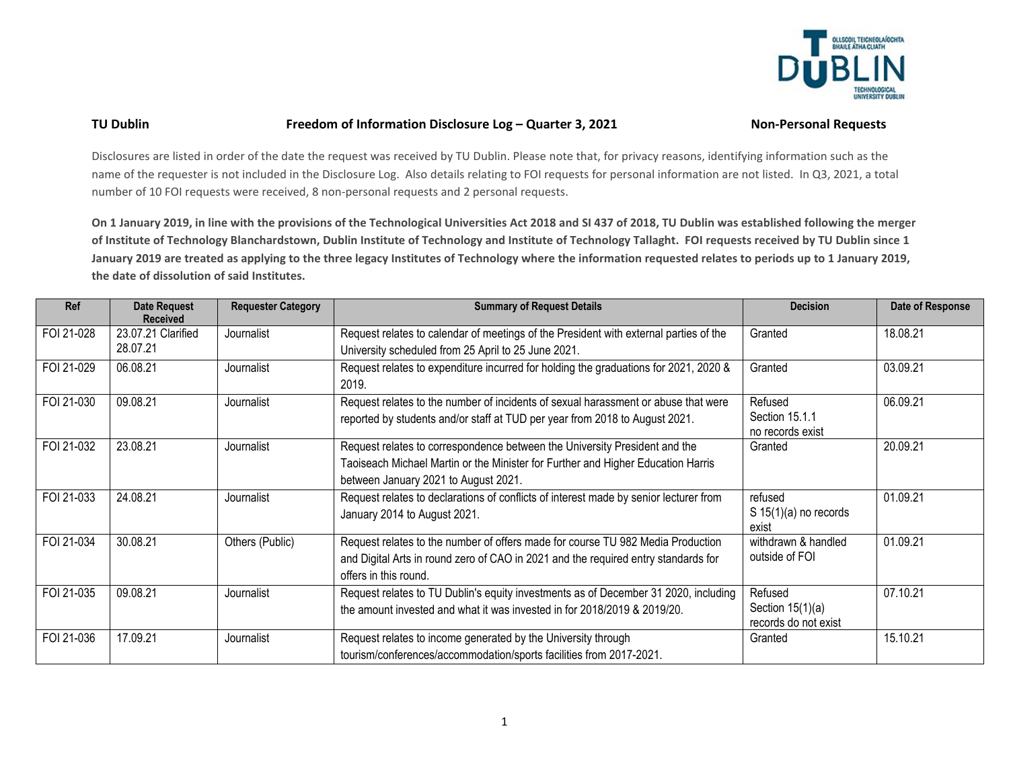

## **TU Dublin Freedom of Information Disclosure Log – Quarter 3, 2021 Non-Personal Requests**

Disclosures are listed in order of the date the request was received by TU Dublin. Please note that, for privacy reasons, identifying information such as the name of the requester is not included in the Disclosure Log. Also details relating to FOI requests for personal information are not listed. In Q3, 2021, a total number of 10 FOI requests were received, 8 non-personal requests and 2 personal requests.

**On 1 January 2019, in line with the provisions of the Technological Universities Act 2018 and SI 437 of 2018, TU Dublin was established following the merger of Institute of Technology Blanchardstown, Dublin Institute of Technology and Institute of Technology Tallaght. FOI requests received by TU Dublin since 1 January 2019 are treated as applying to the three legacy Institutes of Technology where the information requested relates to periods up to 1 January 2019, the date of dissolution of said Institutes.**

| Ref        | <b>Date Request</b><br><b>Received</b> | <b>Requester Category</b> | <b>Summary of Request Details</b>                                                                                                                                                                      | <b>Decision</b>                                       | Date of Response |
|------------|----------------------------------------|---------------------------|--------------------------------------------------------------------------------------------------------------------------------------------------------------------------------------------------------|-------------------------------------------------------|------------------|
| FOI 21-028 | 23.07.21 Clarified<br>28.07.21         | Journalist                | Request relates to calendar of meetings of the President with external parties of the<br>University scheduled from 25 April to 25 June 2021.                                                           | Granted                                               | 18.08.21         |
| FOI 21-029 | 06.08.21                               | Journalist                | Request relates to expenditure incurred for holding the graduations for 2021, 2020 &<br>2019.                                                                                                          | Granted                                               | 03.09.21         |
| FOI 21-030 | 09.08.21                               | Journalist                | Request relates to the number of incidents of sexual harassment or abuse that were<br>reported by students and/or staff at TUD per year from 2018 to August 2021.                                      | Refused<br>Section 15.1.1<br>no records exist         | 06.09.21         |
| FOI 21-032 | 23.08.21                               | Journalist                | Request relates to correspondence between the University President and the<br>Taoiseach Michael Martin or the Minister for Further and Higher Education Harris<br>between January 2021 to August 2021. | Granted                                               | 20.09.21         |
| FOI 21-033 | 24.08.21                               | Journalist                | Request relates to declarations of conflicts of interest made by senior lecturer from<br>January 2014 to August 2021.                                                                                  | refused<br>S 15(1)(a) no records<br>exist             | 01.09.21         |
| FOI 21-034 | 30.08.21                               | Others (Public)           | Request relates to the number of offers made for course TU 982 Media Production<br>and Digital Arts in round zero of CAO in 2021 and the required entry standards for<br>offers in this round.         | withdrawn & handled<br>outside of FOI                 | 01.09.21         |
| FOI 21-035 | 09.08.21                               | Journalist                | Request relates to TU Dublin's equity investments as of December 31 2020, including<br>the amount invested and what it was invested in for 2018/2019 & 2019/20.                                        | Refused<br>Section $15(1)(a)$<br>records do not exist | 07.10.21         |
| FOI 21-036 | 17.09.21                               | Journalist                | Request relates to income generated by the University through<br>tourism/conferences/accommodation/sports facilities from 2017-2021.                                                                   | Granted                                               | 15.10.21         |